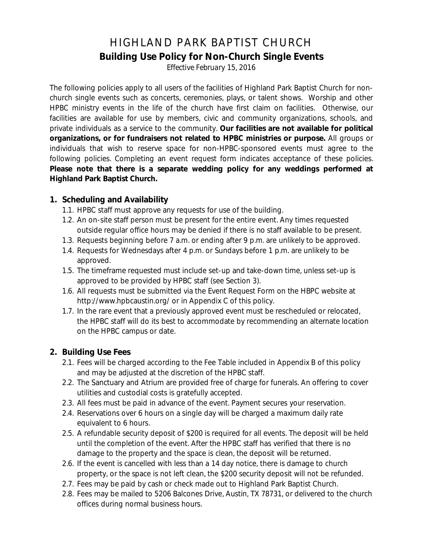## HIGHLAND PARK BAPTIST CHURCH **Building Use Policy for Non-Church Single Events**

*Effective February 15, 2016*

The following policies apply to all users of the facilities of Highland Park Baptist Church for nonchurch single events such as concerts, ceremonies, plays, or talent shows. Worship and other HPBC ministry events in the life of the church have first claim on facilities. Otherwise, our facilities are available for use by members, civic and community organizations, schools, and private individuals as a service to the community. **Our facilities are not available for political organizations, or for fundraisers not related to HPBC ministries or purpose.** All groups or individuals that wish to reserve space for non-HPBC-sponsored events must agree to the following policies. Completing an event request form indicates acceptance of these policies. **Please note that there is a separate wedding policy for any weddings performed at Highland Park Baptist Church.**

#### **1. Scheduling and Availability**

- 1.1. HPBC staff must approve any requests for use of the building.
- 1.2. An on-site staff person must be present for the entire event. Any times requested outside regular office hours may be denied if there is no staff available to be present.
- 1.3. Requests beginning before 7 a.m. or ending after 9 p.m. are unlikely to be approved.
- 1.4. Requests for Wednesdays after 4 p.m. or Sundays before 1 p.m. are unlikely to be approved.
- 1.5. The timeframe requested must include set-up and take-down time, unless set-up is approved to be provided by HPBC staff (see Section 3).
- 1.6. All requests must be submitted via the Event Request Form on the HBPC website at http://www.hpbcaustin.org/ or in Appendix C of this policy.
- 1.7. In the rare event that a previously approved event must be rescheduled or relocated, the HPBC staff will do its best to accommodate by recommending an alternate location on the HPBC campus or date.

#### **2. Building Use Fees**

- 2.1. Fees will be charged according to the Fee Table included in Appendix B of this policy and may be adjusted at the discretion of the HPBC staff.
- 2.2. The Sanctuary and Atrium are provided free of charge for funerals. An offering to cover utilities and custodial costs is gratefully accepted.
- 2.3. All fees must be paid in advance of the event. Payment secures your reservation.
- 2.4. Reservations over 6 hours on a single day will be charged a maximum daily rate equivalent to 6 hours.
- 2.5. A refundable security deposit of \$200 is required for all events. The deposit will be held until the completion of the event. After the HPBC staff has verified that there is no damage to the property and the space is clean, the deposit will be returned.
- 2.6. If the event is cancelled with less than a 14 day notice, there is damage to church property, or the space is not left clean, the \$200 security deposit will not be refunded.
- 2.7. Fees may be paid by cash or check made out to Highland Park Baptist Church.
- 2.8. Fees may be mailed to 5206 Balcones Drive, Austin, TX 78731, or delivered to the church offices during normal business hours.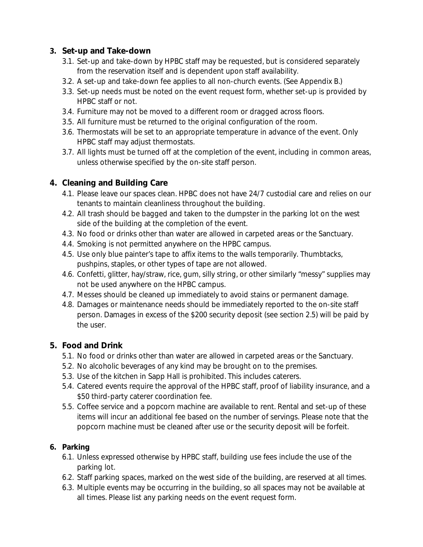#### **3. Set-up and Take-down**

- 3.1. Set-up and take-down by HPBC staff may be requested, but is considered separately from the reservation itself and is dependent upon staff availability.
- 3.2. A set-up and take-down fee applies to all non-church events. (See Appendix B.)
- 3.3. Set-up needs must be noted on the event request form, whether set-up is provided by HPBC staff or not.
- 3.4. Furniture may not be moved to a different room or dragged across floors.
- 3.5. All furniture must be returned to the original configuration of the room.
- 3.6. Thermostats will be set to an appropriate temperature in advance of the event. Only HPBC staff may adjust thermostats.
- 3.7. All lights must be turned off at the completion of the event, including in common areas, unless otherwise specified by the on-site staff person.

#### **4. Cleaning and Building Care**

- 4.1. Please leave our spaces clean. HPBC does not have 24/7 custodial care and relies on our tenants to maintain cleanliness throughout the building.
- 4.2. All trash should be bagged and taken to the dumpster in the parking lot on the west side of the building at the completion of the event.
- 4.3. No food or drinks other than water are allowed in carpeted areas or the Sanctuary.
- 4.4. Smoking is not permitted anywhere on the HPBC campus.
- 4.5. Use only blue painter's tape to affix items to the walls temporarily. Thumbtacks, pushpins, staples, or other types of tape are not allowed.
- 4.6. Confetti, glitter, hay/straw, rice, gum, silly string, or other similarly "messy" supplies may not be used anywhere on the HPBC campus.
- 4.7. Messes should be cleaned up immediately to avoid stains or permanent damage.
- 4.8. Damages or maintenance needs should be immediately reported to the on-site staff person. Damages in excess of the \$200 security deposit (see section 2.5) will be paid by the user.

#### **5. Food and Drink**

- 5.1. No food or drinks other than water are allowed in carpeted areas or the Sanctuary.
- 5.2. No alcoholic beverages of any kind may be brought on to the premises.
- 5.3. Use of the kitchen in Sapp Hall is prohibited. This includes caterers.
- 5.4. Catered events require the approval of the HPBC staff, proof of liability insurance, and a \$50 third-party caterer coordination fee.
- 5.5. Coffee service and a popcorn machine are available to rent. Rental and set-up of these items will incur an additional fee based on the number of servings. Please note that the popcorn machine must be cleaned after use or the security deposit will be forfeit.

#### **6. Parking**

- 6.1. Unless expressed otherwise by HPBC staff, building use fees include the use of the parking lot.
- 6.2. Staff parking spaces, marked on the west side of the building, are reserved at all times.
- 6.3. Multiple events may be occurring in the building, so all spaces may not be available at all times. Please list any parking needs on the event request form.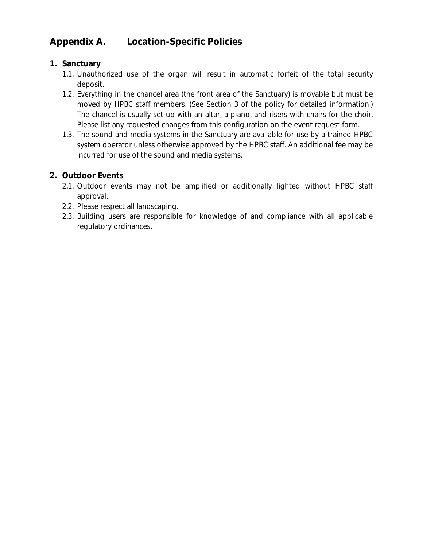### **Appendix A. Location-Specific Policies**

#### **1. Sanctuary**

- 1.1. Unauthorized use of the organ will result in automatic forfeit of the total security deposit.
- 1.2. Everything in the chancel area (the front area of the Sanctuary) is movable but must be moved by HPBC staff members. (See Section 3 of the policy for detailed information.) The chancel is usually set up with an altar, a piano, and risers with chairs for the choir. Please list any requested changes from this configuration on the event request form.
- 1.3. The sound and media systems in the Sanctuary are available for use by a trained HPBC system operator unless otherwise approved by the HPBC staff. An additional fee may be incurred for use of the sound and media systems.

#### **2. Outdoor Events**

- 2.1. Outdoor events may not be amplified or additionally lighted without HPBC staff approval.
- 2.2. Please respect all landscaping.
- 2.3. Building users are responsible for knowledge of and compliance with all applicable regulatory ordinances.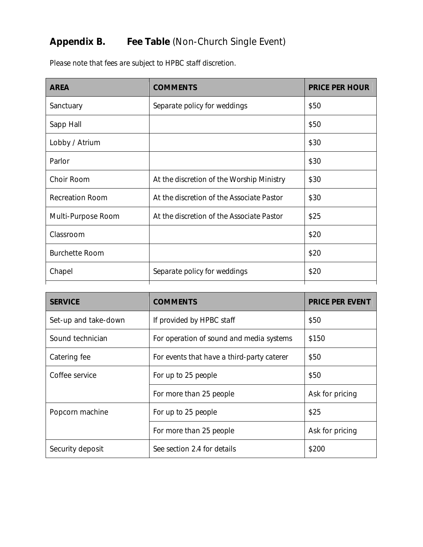## **Appendix B. Fee Table** (Non-Church Single Event)

*Please note that fees are subject to HPBC staff discretion.*

| <b>AREA</b>            | <b>COMMENTS</b>                           | <b>PRICE PER HOUR</b> |
|------------------------|-------------------------------------------|-----------------------|
| Sanctuary              | Separate policy for weddings              | \$50                  |
| Sapp Hall              |                                           | \$50                  |
| Lobby / Atrium         |                                           | \$30                  |
| Parlor                 |                                           | \$30                  |
| Choir Room             | At the discretion of the Worship Ministry | \$30                  |
| <b>Recreation Room</b> | At the discretion of the Associate Pastor | \$30                  |
| Multi-Purpose Room     | At the discretion of the Associate Pastor | \$25                  |
| Classroom              |                                           | \$20                  |
| <b>Burchette Room</b>  |                                           | \$20                  |
| Chapel                 | Separate policy for weddings              | \$20                  |

| <b>SERVICE</b>       | <b>COMMENTS</b>                            | <b>PRICE PER EVENT</b> |  |
|----------------------|--------------------------------------------|------------------------|--|
| Set-up and take-down | If provided by HPBC staff                  | \$50                   |  |
| Sound technician     | For operation of sound and media systems   | \$150                  |  |
| Catering fee         | For events that have a third-party caterer | \$50                   |  |
| Coffee service       | For up to 25 people                        | \$50                   |  |
|                      | For more than 25 people                    | Ask for pricing        |  |
| Popcorn machine      | For up to 25 people                        | \$25                   |  |
|                      | For more than 25 people                    | Ask for pricing        |  |
| Security deposit     | See section 2.4 for details                | \$200                  |  |